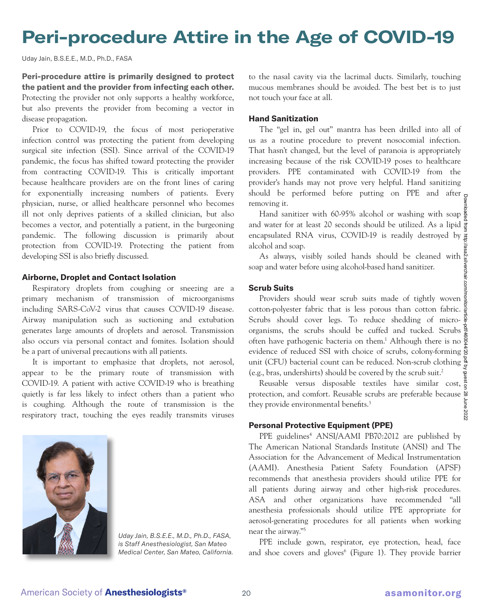# **Peri-procedure Attire in the Age of COVID-19**

Uday Jain, B.S.E.E., M.D., Ph.D., FASA

**Peri-procedure attire is primarily designed to protect the patient and the provider from infecting each other.** Protecting the provider not only supports a healthy workforce, but also prevents the provider from becoming a vector in disease propagation.

Prior to COVID-19, the focus of most perioperative infection control was protecting the patient from developing surgical site infection (SSI). Since arrival of the COVID-19 pandemic, the focus has shifted toward protecting the provider from contracting COVID-19. This is critically important because healthcare providers are on the front lines of caring for exponentially increasing numbers of patients. Every physician, nurse, or allied healthcare personnel who becomes ill not only deprives patients of a skilled clinician, but also becomes a vector, and potentially a patient, in the burgeoning pandemic. The following discussion is primarily about protection from COVID-19. Protecting the patient from developing SSI is also briefly discussed.

# **Airborne, Droplet and Contact Isolation**

Respiratory droplets from coughing or sneezing are a primary mechanism of transmission of microorganisms including SARS-CoV-2 virus that causes COVID-19 disease. Airway manipulation such as suctioning and extubation generates large amounts of droplets and aerosol. Transmission also occurs via personal contact and fomites. Isolation should be a part of universal precautions with all patients.

It is important to emphasize that droplets, not aerosol, appear to be the primary route of transmission with COVID-19. A patient with active COVID-19 who is breathing quietly is far less likely to infect others than a patient who is coughing. Although the route of transmission is the respiratory tract, touching the eyes readily transmits viruses



*Uday Jain, B.S.E.E., M.D., Ph.D., FASA, is Staff Anesthesiologist, San Mateo Medical Center, San Mateo, California.*

to the nasal cavity via the lacrimal ducts. Similarly, touching mucous membranes should be avoided. The best bet is to just not touch your face at all.

# **Hand Sanitization**

The "gel in, gel out" mantra has been drilled into all of us as a routine procedure to prevent nosocomial infection. That hasn't changed, but the level of paranoia is appropriately increasing because of the risk COVID-19 poses to healthcare providers. PPE contaminated with COVID-19 from the provider's hands may not prove very helpful. Hand sanitizing should be performed before putting on PPE and after  $\sigma$ removing it.

Hand sanitizer with 60-95% alcohol or washing with soap and water for at least 20 seconds should be utilized. As a lipid  $\frac{3}{5}$ encapsulated RNA virus, COVID-19 is readily destroyed by  $\frac{3}{4}$ alcohol and soap.

As always, visibly soiled hands should be cleaned with  $\frac{R}{in}$ soap and water before using alcohol-based hand sanitizer.

# **Scrub Suits**

Providers should wear scrub suits made of tightly woven cotton-polyester fabric that is less porous than cotton fabric. Scrubs should cover legs. To reduce shedding of micro- $\frac{5}{9}$ organisms, the scrubs should be cuffed and tucked. Scrubs often have pathogenic bacteria on them.1 Although there is no evidence of reduced SSI with choice of scrubs, colony-forming unit (CFU) bacterial count can be reduced. Non-scrub clothing  $\frac{8}{3}$ (e.g., bras, undershirts) should be covered by the scrub suit.2

Reusable versus disposable textiles have similar cost, protection, and comfort. Reusable scrubs are preferable because they provide environmental benefits.<sup>3</sup>

### **Personal Protective Equipment (PPE)**

PPE guidelines<sup>4</sup> ANSI/AAMI PB70:2012 are published by The American National Standards Institute (ANSI) and The Association for the Advancement of Medical Instrumentation (AAMI). Anesthesia Patient Safety Foundation (APSF) recommends that anesthesia providers should utilize PPE for all patients during airway and other high-risk procedures. ASA and other organizations have recommended "all anesthesia professionals should utilize PPE appropriate for aerosol-generating procedures for all patients when working near the airway."5

PPE include gown, respirator, eye protection, head, face and shoe covers and gloves<sup>6</sup> (Figure 1). They provide barrier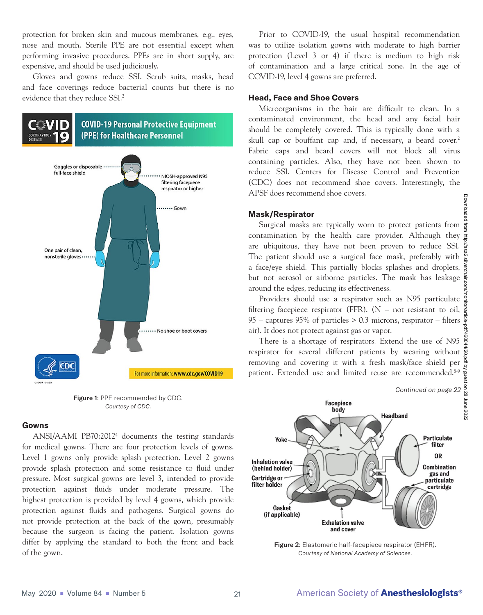protection for broken skin and mucous membranes, e.g., eyes, nose and mouth. Sterile PPE are not essential except when performing invasive procedures. PPEs are in short supply, are expensive, and should be used judiciously.

Gloves and gowns reduce SSI. Scrub suits, masks, head and face coverings reduce bacterial counts but there is no evidence that they reduce SSI.2



Figure 1: PPE recommended by CDC. *Courtesy of CDC.*

#### **Gowns**

ANSI/AAMI PB70:20124 documents the testing standards for medical gowns. There are four protection levels of gowns. Level 1 gowns only provide splash protection. Level 2 gowns provide splash protection and some resistance to fluid under pressure. Most surgical gowns are level 3, intended to provide protection against fluids under moderate pressure. The highest protection is provided by level 4 gowns, which provide protection against fluids and pathogens. Surgical gowns do not provide protection at the back of the gown, presumably because the surgeon is facing the patient. Isolation gowns differ by applying the standard to both the front and back of the gown.

Prior to COVID-19, the usual hospital recommendation was to utilize isolation gowns with moderate to high barrier protection (Level 3 or 4) if there is medium to high risk of contamination and a large critical zone. In the age of COVID-19, level 4 gowns are preferred.

# **Head, Face and Shoe Covers**

Microorganisms in the hair are difficult to clean. In a contaminated environment, the head and any facial hair should be completely covered. This is typically done with a skull cap or bouffant cap and, if necessary, a beard cover.<sup>2</sup> Fabric caps and beard covers will not block all virus containing particles. Also, they have not been shown to reduce SSI. Centers for Disease Control and Prevention (CDC) does not recommend shoe covers. Interestingly, the APSF does recommend shoe covers.

#### **Mask/Respirator**

Surgical masks are typically worn to protect patients from contamination by the health care provider. Although they are ubiquitous, they have not been proven to reduce SSI. The patient should use a surgical face mask, preferably with a face/eye shield. This partially blocks splashes and droplets, but not aerosol or airborne particles. The mask has leakage around the edges, reducing its effectiveness.

Providers should use a respirator such as N95 particulate filtering facepiece respirator (FFR).  $(N - not$  resistant to oil, 95 – captures 95% of particles  $> 0.3$  microns, respirator – filters  $\frac{6}{9}$ air). It does not protect against gas or vapor.

There is a shortage of respirators. Extend the use of N95 respirator for several different patients by wearing without  $\overline{\hat{\xi}}$ removing and covering it with a fresh mask/face shield per patient. Extended use and limited reuse are recommended.<sup>8-9</sup>



Figure 2: Elastomeric half-facepiece respirator (EHFR). *Courtesy of National Academy of Sciences.*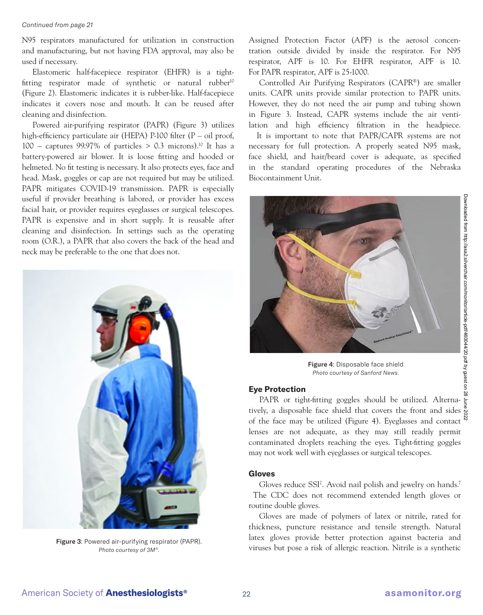#### *Continued from page 21*

N95 respirators manufactured for utilization in construction and manufacturing, but not having FDA approval, may also be used if necessary.

Elastomeric half-facepiece respirator (EHFR) is a tightfitting respirator made of synthetic or natural rubber<sup>10</sup> (Figure 2). Elastomeric indicates it is rubber-like. Half-facepiece indicates it covers nose and mouth. It can be reused after cleaning and disinfection.

Powered air-purifying respirator (PAPR) (Figure 3) utilizes high-efficiency particulate air (HEPA) P-100 filter (P – oil proof, 100 – captures 99.97% of particles  $> 0.3$  microns).<sup>10</sup> It has a battery-powered air blower. It is loose fitting and hooded or helmeted. No fit testing is necessary. It also protects eyes, face and head. Mask, goggles or cap are not required but may be utilized. PAPR mitigates COVID-19 transmission. PAPR is especially useful if provider breathing is labored, or provider has excess facial hair, or provider requires eyeglasses or surgical telescopes. PAPR is expensive and in short supply. It is reusable after cleaning and disinfection. In settings such as the operating room (O.R.), a PAPR that also covers the back of the head and neck may be preferable to the one that does not.



Figure 3: Powered air-purifying respirator (PAPR). *Photo courtesy of 3M®.*

Assigned Protection Factor (APF) is the aerosol concentration outside divided by inside the respirator. For N95 respirator, APF is 10. For EHFR respirator, APF is 10. For PAPR respirator, APF is 25-1000.

Controlled Air Purifying Respirators (CAPR®) are smaller units. CAPR units provide similar protection to PAPR units. However, they do not need the air pump and tubing shown in Figure 3. Instead, CAPR systems include the air ventilation and high efficiency filtration in the headpiece.

 It is important to note that PAPR/CAPR systems are not necessary for full protection. A properly seated N95 mask, face shield, and hair/beard cover is adequate, as specified in the standard operating procedures of the Nebraska Biocontainment Unit.



Figure 4: Disposable face shield *Photo courtesy of Sanford News.*

# **Eye Protection**

e **Protection**<br>PAPR or tight-fitting goggles should be utilized. Alterna- g tively, a disposable face shield that covers the front and sides  $\frac{a}{b}$ of the face may be utilized (Figure 4). Eyeglasses and contact  $\frac{8}{3}$ lenses are not adequate, as they may still readily permit contaminated droplets reaching the eyes. Tight-fitting goggles may not work well with eyeglasses or surgical telescopes.

# **Gloves**

Gloves reduce SSI<sup>2</sup>. Avoid nail polish and jewelry on hands.<sup>7</sup> The CDC does not recommend extended length gloves or routine double gloves.

Gloves are made of polymers of latex or nitrile, rated for thickness, puncture resistance and tensile strength. Natural latex gloves provide better protection against bacteria and viruses but pose a risk of allergic reaction. Nitrile is a synthetic